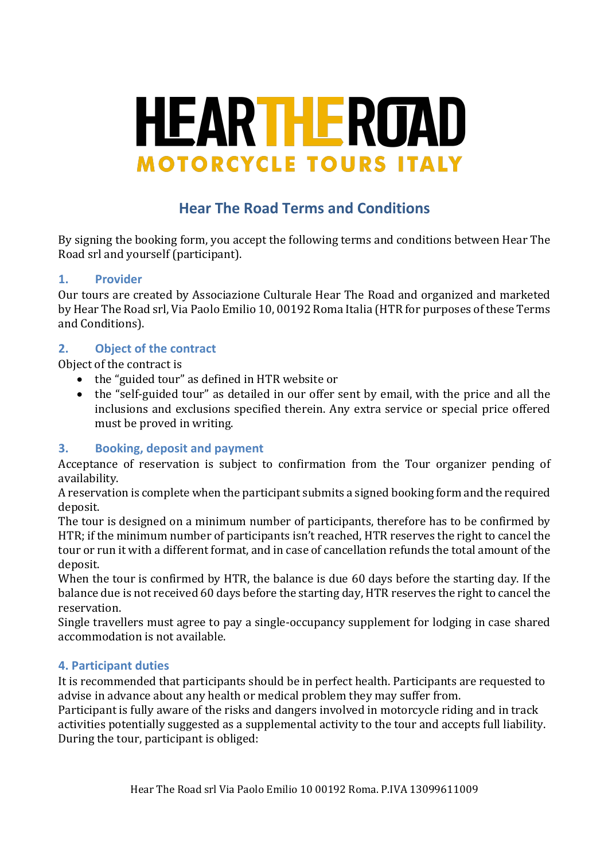# **HEARTHEROAD MOTORCYCLE TOURS ITALY**

# **Hear The Road Terms and Conditions**

By signing the booking form, you accept the following terms and conditions between Hear The Road srl and yourself (participant).

#### **1. Provider**

Our tours are created by Associazione Culturale Hear The Road and organized and marketed by Hear The Road srl, Via Paolo Emilio 10, 00192 Roma Italia (HTR for purposes of these Terms and Conditions).

#### **2. Object of the contract**

Object of the contract is

- the "guided tour" as defined in HTR website or
- the "self-guided tour" as detailed in our offer sent by email, with the price and all the inclusions and exclusions specified therein. Any extra service or special price offered must be proved in writing.

#### **3. Booking, deposit and payment**

Acceptance of reservation is subject to confirmation from the Tour organizer pending of availability.

A reservation is complete when the participant submits a signed booking form and the required deposit.

The tour is designed on a minimum number of participants, therefore has to be confirmed by HTR; if the minimum number of participants isn't reached, HTR reserves the right to cancel the tour or run it with a different format, and in case of cancellation refunds the total amount of the deposit.

When the tour is confirmed by HTR, the balance is due 60 days before the starting day. If the balance due is not received 60 days before the starting day, HTR reserves the right to cancel the reservation.

Single travellers must agree to pay a single-occupancy supplement for lodging in case shared accommodation is not available.

# **4. Participant duties**

It is recommended that participants should be in perfect health. Participants are requested to advise in advance about any health or medical problem they may suffer from.

Participant is fully aware of the risks and dangers involved in motorcycle riding and in track activities potentially suggested as a supplemental activity to the tour and accepts full liability. During the tour, participant is obliged: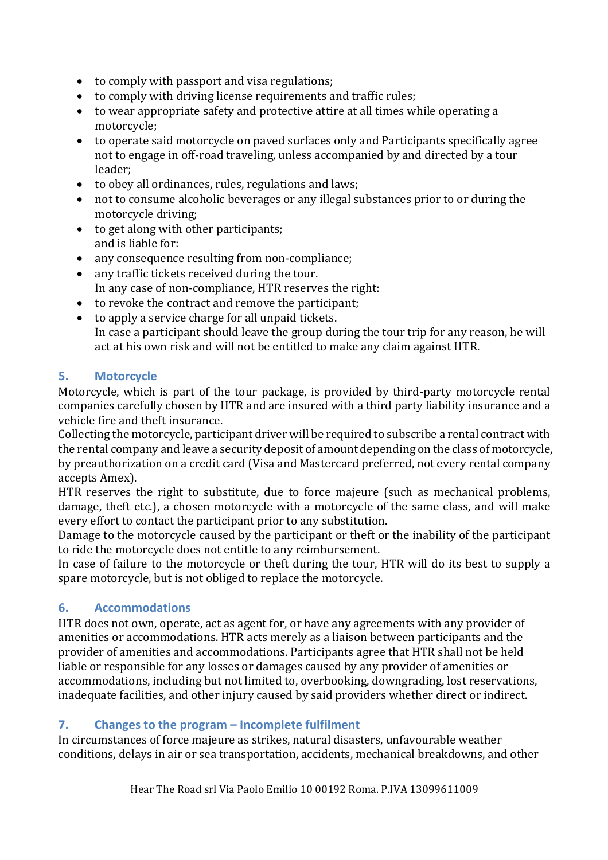- $\bullet$  to comply with passport and visa regulations;
- to comply with driving license requirements and traffic rules;
- $\bullet$  to wear appropriate safety and protective attire at all times while operating a motorcycle;
- to operate said motorcycle on paved surfaces only and Participants specifically agree not to engage in off-road traveling, unless accompanied by and directed by a tour leader;
- to obey all ordinances, rules, regulations and laws;
- not to consume alcoholic beverages or any illegal substances prior to or during the motorcycle driving;
- to get along with other participants; and is liable for:
- any consequence resulting from non-compliance;
- any traffic tickets received during the tour. In any case of non-compliance, HTR reserves the right:
- to revoke the contract and remove the participant;
- $\bullet$  to apply a service charge for all unpaid tickets. In case a participant should leave the group during the tour trip for any reason, he will act at his own risk and will not be entitled to make any claim against HTR.

# **5. Motorcycle**

Motorcycle, which is part of the tour package, is provided by third-party motorcycle rental companies carefully chosen by HTR and are insured with a third party liability insurance and a vehicle fire and theft insurance.

Collecting the motorcycle, participant driver will be required to subscribe a rental contract with the rental company and leave a security deposit of amount depending on the class of motorcycle, by preauthorization on a credit card (Visa and Mastercard preferred, not every rental company accepts Amex).

HTR reserves the right to substitute, due to force majeure (such as mechanical problems, damage, theft etc.), a chosen motorcycle with a motorcycle of the same class, and will make every effort to contact the participant prior to any substitution.

Damage to the motorcycle caused by the participant or theft or the inability of the participant to ride the motorcycle does not entitle to any reimbursement.

In case of failure to the motorcycle or theft during the tour, HTR will do its best to supply a spare motorcycle, but is not obliged to replace the motorcycle.

# **6. Accommodations**

HTR does not own, operate, act as agent for, or have any agreements with any provider of amenities or accommodations. HTR acts merely as a liaison between participants and the provider of amenities and accommodations. Participants agree that HTR shall not be held liable or responsible for any losses or damages caused by any provider of amenities or accommodations, including but not limited to, overbooking, downgrading, lost reservations, inadequate facilities, and other injury caused by said providers whether direct or indirect.

# **7. Changes to the program – Incomplete fulfilment**

In circumstances of force majeure as strikes, natural disasters, unfavourable weather conditions, delays in air or sea transportation, accidents, mechanical breakdowns, and other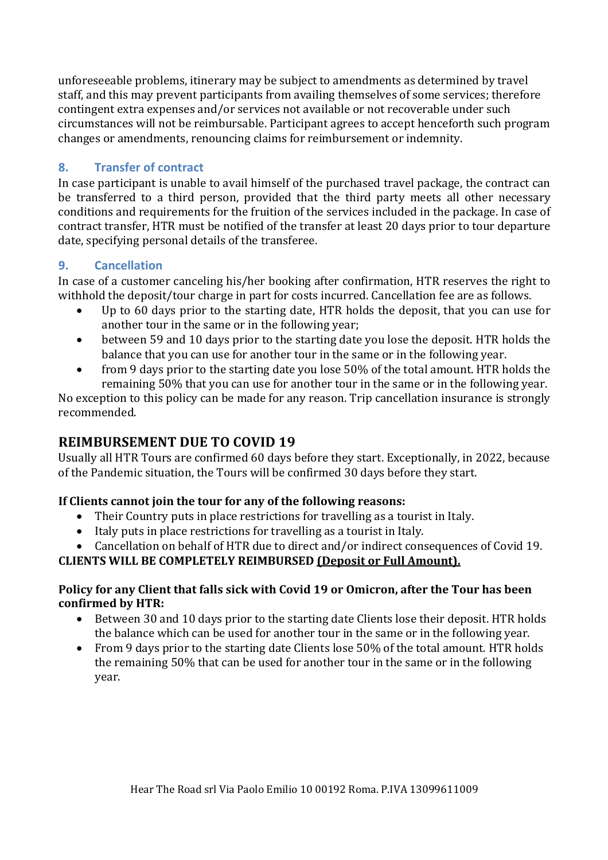unforeseeable problems, itinerary may be subject to amendments as determined by travel staff, and this may prevent participants from availing themselves of some services; therefore contingent extra expenses and/or services not available or not recoverable under such circumstances will not be reimbursable. Participant agrees to accept henceforth such program changes or amendments, renouncing claims for reimbursement or indemnity.

#### **8. Transfer of contract**

In case participant is unable to avail himself of the purchased travel package, the contract can be transferred to a third person, provided that the third party meets all other necessary conditions and requirements for the fruition of the services included in the package. In case of contract transfer, HTR must be notified of the transfer at least 20 days prior to tour departure date, specifying personal details of the transferee.

#### **9. Cancellation**

In case of a customer canceling his/her booking after confirmation, HTR reserves the right to withhold the deposit/tour charge in part for costs incurred. Cancellation fee are as follows.

- Up to 60 days prior to the starting date, HTR holds the deposit, that you can use for another tour in the same or in the following year;
- between 59 and 10 days prior to the starting date you lose the deposit. HTR holds the balance that you can use for another tour in the same or in the following year.
- from 9 days prior to the starting date you lose 50% of the total amount. HTR holds the remaining 50% that you can use for another tour in the same or in the following year.

No exception to this policy can be made for any reason. Trip cancellation insurance is strongly recommended. 

# **REIMBURSEMENT DUE TO COVID 19**

Usually all HTR Tours are confirmed 60 days before they start. Exceptionally, in 2022, because of the Pandemic situation, the Tours will be confirmed 30 days before they start.

#### If Clients cannot join the tour for any of the following reasons:

- Their Country puts in place restrictions for travelling as a tourist in Italy.
- Italy puts in place restrictions for travelling as a tourist in Italy.
- Cancellation on behalf of HTR due to direct and/or indirect consequences of Covid 19.

# **CLIENTS WILL BE COMPLETELY REIMBURSED (Deposit or Full Amount).**

#### Policy for any Client that falls sick with Covid 19 or Omicron, after the Tour has been **confirmed by HTR:**

- Between 30 and 10 days prior to the starting date Clients lose their deposit. HTR holds the balance which can be used for another tour in the same or in the following year.
- From 9 days prior to the starting date Clients lose 50% of the total amount. HTR holds the remaining 50% that can be used for another tour in the same or in the following year.